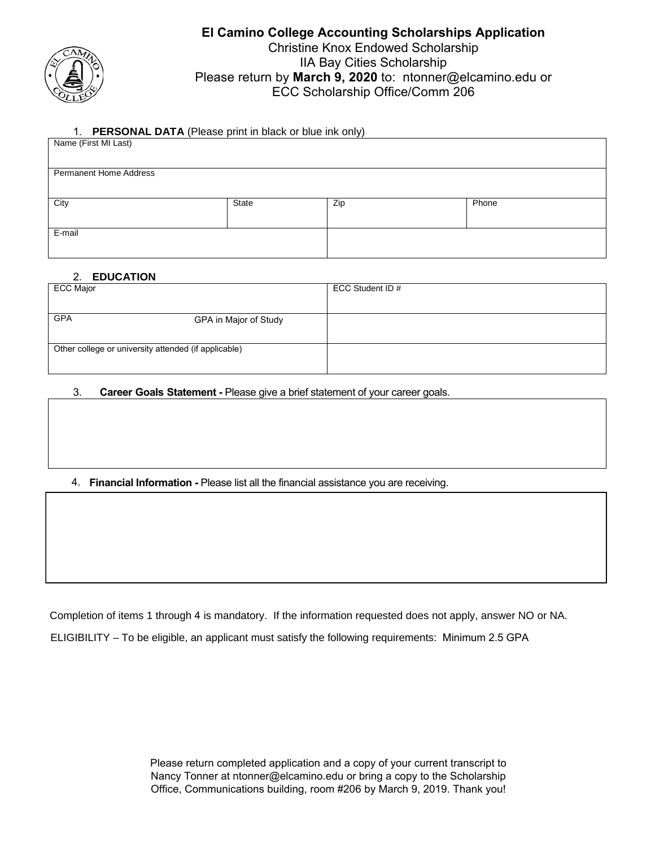

# **El Camino College Accounting Scholarships Application**  Christine Knox Endowed Scholarship IIA Bay Cities Scholarship Please return by **March 9, 2020** to: ntonner@elcamino.edu or ECC Scholarship Office/Comm 206

#### 1. **PERSONAL DATA** (Please print in black or blue ink only)

| Name (First MI Last)          |       | .   |       |  |  |
|-------------------------------|-------|-----|-------|--|--|
| <b>Permanent Home Address</b> |       |     |       |  |  |
| City                          | State | Zip | Phone |  |  |
| E-mail                        |       |     |       |  |  |

# 2. **EDUCATION**

| - - <del>- - - - -</del> - - - - - - -               |                  |
|------------------------------------------------------|------------------|
| <b>ECC Major</b>                                     | ECC Student ID # |
|                                                      |                  |
| <b>GPA</b><br>GPA in Major of Study                  |                  |
|                                                      |                  |
| Other college or university attended (if applicable) |                  |
|                                                      |                  |

## 3. **Career Goals Statement -** Please give a brief statement of your career goals.

# 4. **Financial Information -** Please list all the financial assistance you are receiving.

Completion of items 1 through 4 is mandatory. If the information requested does not apply, answer NO or NA. ELIGIBILITY – To be eligible, an applicant must satisfy the following requirements: Minimum 2.5 GPA

> Please return completed application and a copy of your current transcript to Nancy Tonner at ntonner@elcamino.edu or bring a copy to the Scholarship Office, Communications building, room #206 by March 9, 2019. Thank you!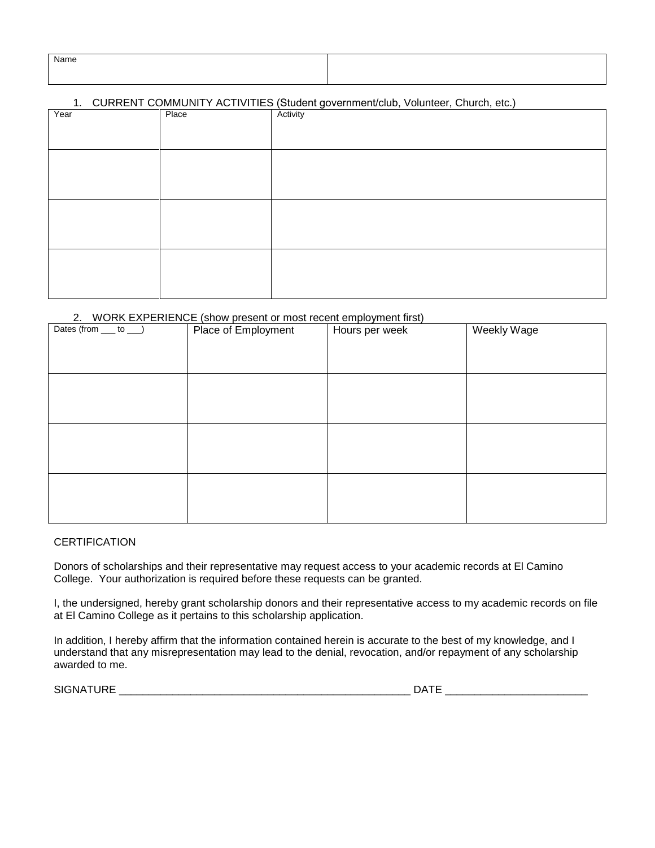| Name |  |
|------|--|
|      |  |
|      |  |
|      |  |

## 1. CURRENT COMMUNITY ACTIVITIES (Student government/club, Volunteer, Church, etc.)

| Year | Place | ັ<br>Activity |
|------|-------|---------------|
|      |       |               |
|      |       |               |
|      |       |               |
|      |       |               |
|      |       |               |
|      |       |               |
|      |       |               |
|      |       |               |
|      |       |               |
|      |       |               |
|      |       |               |
|      |       |               |
|      |       |               |
|      |       |               |
|      |       |               |
|      |       |               |

#### 2. WORK EXPERIENCE (show present or most recent employment first)

| Dates (from __ to __) | Place of Employment | Hours per week | Weekly Wage |
|-----------------------|---------------------|----------------|-------------|
|                       |                     |                |             |
|                       |                     |                |             |
|                       |                     |                |             |
|                       |                     |                |             |
|                       |                     |                |             |
|                       |                     |                |             |
|                       |                     |                |             |
|                       |                     |                |             |
|                       |                     |                |             |
|                       |                     |                |             |
|                       |                     |                |             |
|                       |                     |                |             |
|                       |                     |                |             |
|                       |                     |                |             |

#### **CERTIFICATION**

Donors of scholarships and their representative may request access to your academic records at El Camino College. Your authorization is required before these requests can be granted.

I, the undersigned, hereby grant scholarship donors and their representative access to my academic records on file at El Camino College as it pertains to this scholarship application.

In addition, I hereby affirm that the information contained herein is accurate to the best of my knowledge, and I understand that any misrepresentation may lead to the denial, revocation, and/or repayment of any scholarship awarded to me.